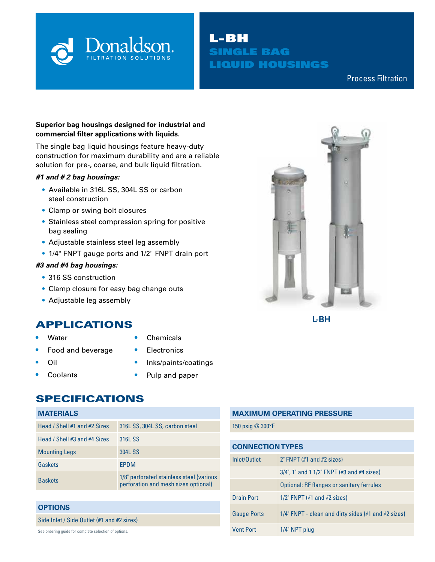

## L-BH SINGLE BAG LIQUID HOUSINGS

Compressed Air & Process Filtration Process Filtration

### **Superior bag housings designed for industrial and commercial filter applications with liquids.**

The single bag liquid housings feature heavy-duty construction for maximum durability and are a reliable solution for pre-, coarse, and bulk liquid filtration.

#### *#1 and # 2 bag housings:*

- Available in 316L SS, 304L SS or carbon steel construction
- Clamp or swing bolt closures
- Stainless steel compression spring for positive bag sealing
- Adjustable stainless steel leg assembly
- 1/4" FNPT gauge ports and 1/2" FNPT drain port

#### *#3 and #4 bag housings:*

- 316 SS construction
- Clamp closure for easy bag change outs
- Adjustable leg assembly

# **L-BH** APPLICATIONS

**•** Water

**•** Oil

- **•** Food and beverage
- **•** Chemicals **•** Electronics
- **•** Inks/paints/coatings
- **•** Coolants
- **•** Pulp and paper

### SPECIFICATIONS

#### **MATERIALS**

| Head / Shell #1 and #2 Sizes | 316L SS, 304L SS, carbon steel                                                   |
|------------------------------|----------------------------------------------------------------------------------|
| Head / Shell #3 and #4 Sizes | 316L SS                                                                          |
| <b>Mounting Legs</b>         | 304L SS                                                                          |
| Gaskets                      | EPDM                                                                             |
| <b>Baskets</b>               | 1/8" perforated stainless steel (various<br>perforation and mesh sizes optional) |

#### **OPTIONS**

Side Inlet / Side Outlet (#1 and #2 sizes)

See ordering guide for complete selection of options.



### **MAXIMUM OPERATING PRESSURE**

150 psig @ 300°F

| <b>CONNECTION TYPES</b> |                                                        |  |  |  |  |
|-------------------------|--------------------------------------------------------|--|--|--|--|
| Inlet/Outlet            | 2" FNPT $(\#1 \text{ and } \#2 \text{ sizes})$         |  |  |  |  |
|                         | $3/4$ ", 1" and 1 1/2" FNPT (#3 and #4 sizes)          |  |  |  |  |
|                         | Optional: RF flanges or sanitary ferrules              |  |  |  |  |
| <b>Drain Port</b>       | $1/2$ " FNPT (#1 and #2 sizes)                         |  |  |  |  |
| <b>Gauge Ports</b>      | 1/4" FNPT - clean and dirty sides $#1$ and $#2$ sizes) |  |  |  |  |
| <b>Vent Port</b>        | 1/4" NPT plug                                          |  |  |  |  |